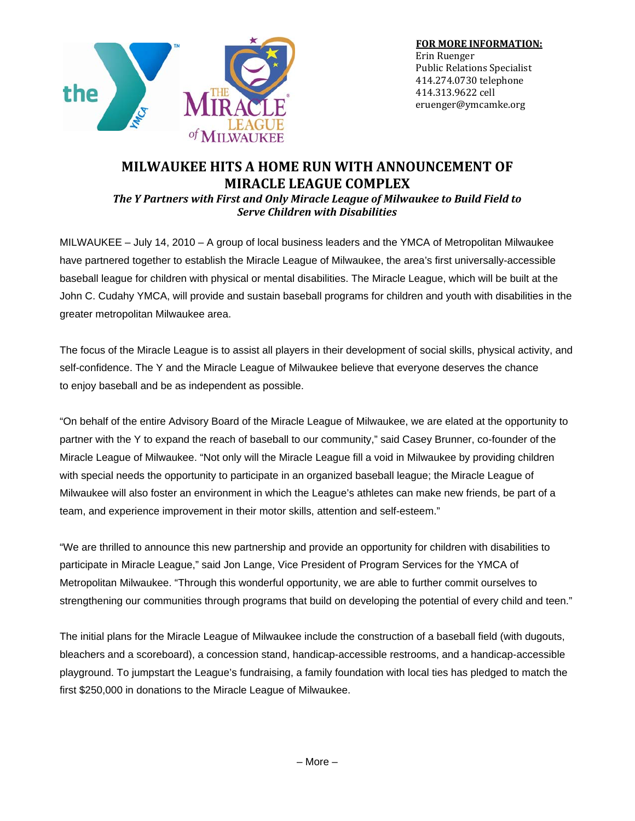

## **MILWAUKEE HITS A HOME RUN WITH ANNOUNCEMENT OF MIRACLE LEAGUE COMPLEX**

*The Y Partners with First and Only Miracle League of Milwaukee to Build Field to Serve Children with Disabilities*

MILWAUKEE – July 14, 2010 – A group of local business leaders and the YMCA of Metropolitan Milwaukee have partnered together to establish the Miracle League of Milwaukee, the area's first universally-accessible baseball league for children with physical or mental disabilities. The Miracle League, which will be built at the John C. Cudahy YMCA, will provide and sustain baseball programs for children and youth with disabilities in the greater metropolitan Milwaukee area.

The focus of the Miracle League is to assist all players in their development of social skills, physical activity, and self-confidence. The Y and the Miracle League of Milwaukee believe that everyone deserves the chance to enjoy baseball and be as independent as possible.

"On behalf of the entire Advisory Board of the Miracle League of Milwaukee, we are elated at the opportunity to partner with the Y to expand the reach of baseball to our community," said Casey Brunner, co-founder of the Miracle League of Milwaukee. "Not only will the Miracle League fill a void in Milwaukee by providing children with special needs the opportunity to participate in an organized baseball league; the Miracle League of Milwaukee will also foster an environment in which the League's athletes can make new friends, be part of a team, and experience improvement in their motor skills, attention and self-esteem."

"We are thrilled to announce this new partnership and provide an opportunity for children with disabilities to participate in Miracle League," said Jon Lange, Vice President of Program Services for the YMCA of Metropolitan Milwaukee. "Through this wonderful opportunity, we are able to further commit ourselves to strengthening our communities through programs that build on developing the potential of every child and teen."

The initial plans for the Miracle League of Milwaukee include the construction of a baseball field (with dugouts, bleachers and a scoreboard), a concession stand, handicap-accessible restrooms, and a handicap-accessible playground. To jumpstart the League's fundraising, a family foundation with local ties has pledged to match the first \$250,000 in donations to the Miracle League of Milwaukee.